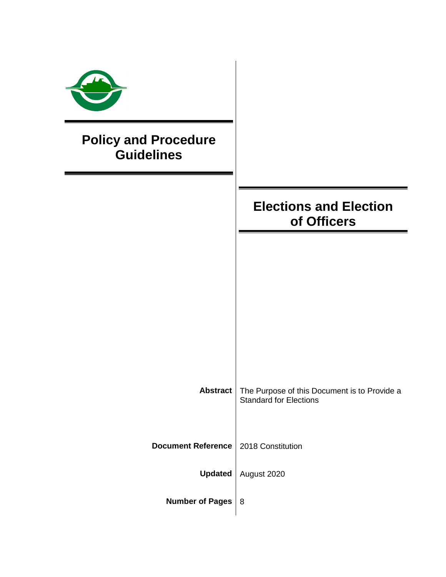| <b>Policy and Procedure</b><br><b>Guidelines</b> |                                                                               |
|--------------------------------------------------|-------------------------------------------------------------------------------|
|                                                  | <b>Elections and Election</b><br>of Officers                                  |
|                                                  |                                                                               |
|                                                  |                                                                               |
|                                                  |                                                                               |
| <b>Abstract</b>                                  | The Purpose of this Document is to Provide a<br><b>Standard for Elections</b> |
| <b>Document Reference</b>                        | 2018 Constitution                                                             |
| <b>Updated</b>                                   | August 2020                                                                   |
| <b>Number of Pages</b>                           | 8                                                                             |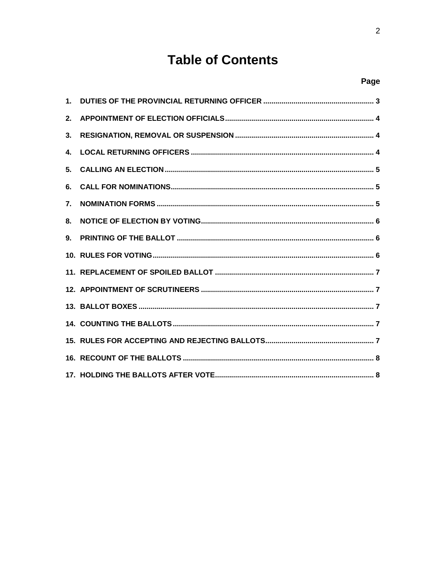# **Table of Contents**

### Page

| 2.           |  |
|--------------|--|
| 3.           |  |
| $\mathbf{4}$ |  |
| 5.           |  |
| 6.           |  |
| 7.           |  |
| 8.           |  |
| 9.           |  |
|              |  |
|              |  |
|              |  |
|              |  |
|              |  |
|              |  |
|              |  |
|              |  |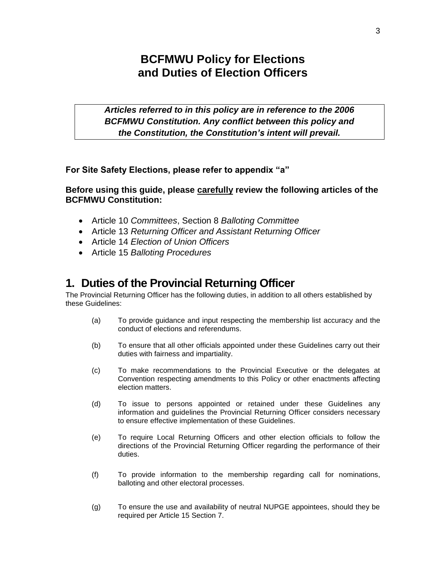# **BCFMWU Policy for Elections and Duties of Election Officers**

*Articles referred to in this policy are in reference to the 2006 BCFMWU Constitution. Any conflict between this policy and the Constitution, the Constitution's intent will prevail.*

**For Site Safety Elections, please refer to appendix "a"**

**Before using this guide, please carefully review the following articles of the BCFMWU Constitution:**

- Article 10 *Committees*, Section 8 *Balloting Committee*
- Article 13 *Returning Officer and Assistant Returning Officer*
- Article 14 *Election of Union Officers*
- Article 15 *Balloting Procedures*

### <span id="page-2-0"></span>**1. Duties of the Provincial Returning Officer**

The Provincial Returning Officer has the following duties, in addition to all others established by these Guidelines:

- (a) To provide guidance and input respecting the membership list accuracy and the conduct of elections and referendums.
- (b) To ensure that all other officials appointed under these Guidelines carry out their duties with fairness and impartiality.
- (c) To make recommendations to the Provincial Executive or the delegates at Convention respecting amendments to this Policy or other enactments affecting election matters.
- (d) To issue to persons appointed or retained under these Guidelines any information and guidelines the Provincial Returning Officer considers necessary to ensure effective implementation of these Guidelines.
- (e) To require Local Returning Officers and other election officials to follow the directions of the Provincial Returning Officer regarding the performance of their duties.
- (f) To provide information to the membership regarding call for nominations, balloting and other electoral processes.
- (g) To ensure the use and availability of neutral NUPGE appointees, should they be required per Article 15 Section 7.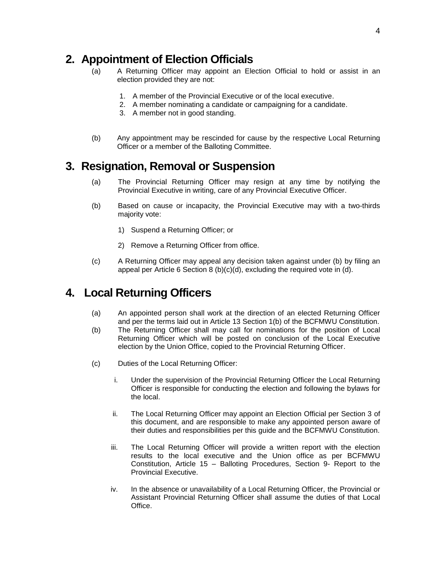### <span id="page-3-0"></span>**2. Appointment of Election Officials**

- (a) A Returning Officer may appoint an Election Official to hold or assist in an election provided they are not:
	- 1. A member of the Provincial Executive or of the local executive.
	- 2. A member nominating a candidate or campaigning for a candidate.
	- 3. A member not in good standing.
- (b) Any appointment may be rescinded for cause by the respective Local Returning Officer or a member of the Balloting Committee.

# <span id="page-3-1"></span>**3. Resignation, Removal or Suspension**

- (a) The Provincial Returning Officer may resign at any time by notifying the Provincial Executive in writing, care of any Provincial Executive Officer.
- (b) Based on cause or incapacity, the Provincial Executive may with a two-thirds majority vote:
	- 1) Suspend a Returning Officer; or
	- 2) Remove a Returning Officer from office.
- (c) A Returning Officer may appeal any decision taken against under (b) by filing an appeal per Article 6 Section 8 (b)(c)(d), excluding the required vote in (d).

# <span id="page-3-2"></span>**4. Local Returning Officers**

- (a) An appointed person shall work at the direction of an elected Returning Officer and per the terms laid out in Article 13 Section 1(b) of the BCFMWU Constitution.
- (b) The Returning Officer shall may call for nominations for the position of Local Returning Officer which will be posted on conclusion of the Local Executive election by the Union Office, copied to the Provincial Returning Officer.
- (c) Duties of the Local Returning Officer:
	- i. Under the supervision of the Provincial Returning Officer the Local Returning Officer is responsible for conducting the election and following the bylaws for the local.
	- ii. The Local Returning Officer may appoint an Election Official per Section 3 of this document, and are responsible to make any appointed person aware of their duties and responsibilities per this guide and the BCFMWU Constitution.
	- iii. The Local Returning Officer will provide a written report with the election results to the local executive and the Union office as per BCFMWU Constitution, Article 15 – Balloting Procedures, Section 9- Report to the Provincial Executive.
	- iv. In the absence or unavailability of a Local Returning Officer, the Provincial or Assistant Provincial Returning Officer shall assume the duties of that Local Office.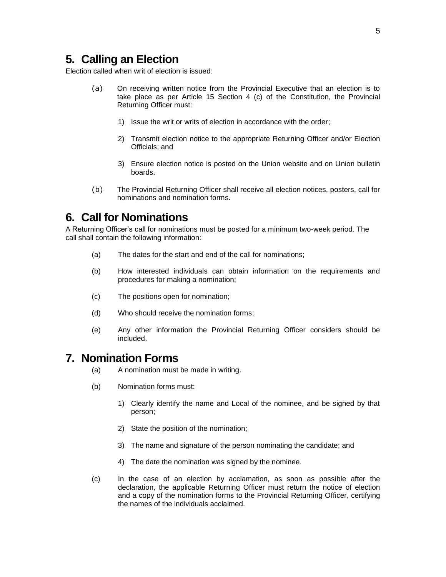### <span id="page-4-0"></span>**5. Calling an Election**

Election called when writ of election is issued:

- (a) On receiving written notice from the Provincial Executive that an election is to take place as per Article 15 Section 4 (c) of the Constitution, the Provincial Returning Officer must:
	- 1) Issue the writ or writs of election in accordance with the order;
	- 2) Transmit election notice to the appropriate Returning Officer and/or Election Officials; and
	- 3) Ensure election notice is posted on the Union website and on Union bulletin boards.
- (b) The Provincial Returning Officer shall receive all election notices, posters, call for nominations and nomination forms.

### <span id="page-4-1"></span>**6. Call for Nominations**

A Returning Officer's call for nominations must be posted for a minimum two-week period. The call shall contain the following information:

- (a) The dates for the start and end of the call for nominations;
- (b) How interested individuals can obtain information on the requirements and procedures for making a nomination;
- (c) The positions open for nomination;
- (d) Who should receive the nomination forms;
- (e) Any other information the Provincial Returning Officer considers should be included.

#### <span id="page-4-2"></span>**7. Nomination Forms**

- (a) A nomination must be made in writing.
- (b) Nomination forms must:
	- 1) Clearly identify the name and Local of the nominee, and be signed by that person;
	- 2) State the position of the nomination;
	- 3) The name and signature of the person nominating the candidate; and
	- 4) The date the nomination was signed by the nominee.
- (c) In the case of an election by acclamation, as soon as possible after the declaration, the applicable Returning Officer must return the notice of election and a copy of the nomination forms to the Provincial Returning Officer, certifying the names of the individuals acclaimed.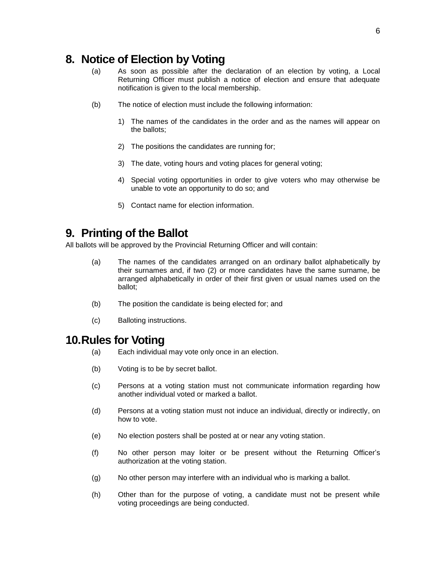# <span id="page-5-0"></span>**8. Notice of Election by Voting**

- (a) As soon as possible after the declaration of an election by voting, a Local Returning Officer must publish a notice of election and ensure that adequate notification is given to the local membership.
- (b) The notice of election must include the following information:
	- 1) The names of the candidates in the order and as the names will appear on the ballots;
	- 2) The positions the candidates are running for;
	- 3) The date, voting hours and voting places for general voting;
	- 4) Special voting opportunities in order to give voters who may otherwise be unable to vote an opportunity to do so; and
	- 5) Contact name for election information.

# <span id="page-5-1"></span>**9. Printing of the Ballot**

All ballots will be approved by the Provincial Returning Officer and will contain:

- (a) The names of the candidates arranged on an ordinary ballot alphabetically by their surnames and, if two (2) or more candidates have the same surname, be arranged alphabetically in order of their first given or usual names used on the ballot;
- (b) The position the candidate is being elected for; and
- (c) Balloting instructions.

#### <span id="page-5-2"></span>**10.Rules for Voting**

- (a) Each individual may vote only once in an election.
- (b) Voting is to be by secret ballot.
- (c) Persons at a voting station must not communicate information regarding how another individual voted or marked a ballot.
- (d) Persons at a voting station must not induce an individual, directly or indirectly, on how to vote.
- (e) No election posters shall be posted at or near any voting station.
- (f) No other person may loiter or be present without the Returning Officer's authorization at the voting station.
- (g) No other person may interfere with an individual who is marking a ballot.
- (h) Other than for the purpose of voting, a candidate must not be present while voting proceedings are being conducted.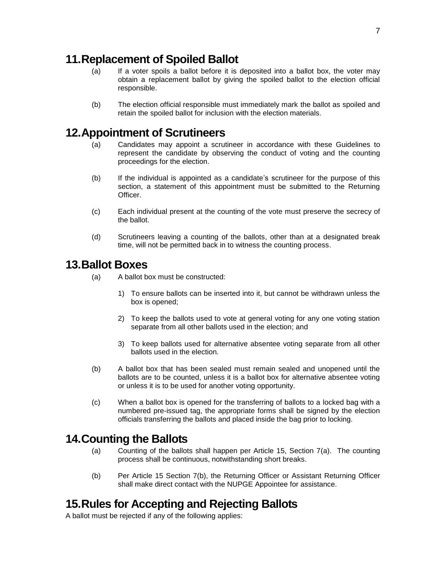### <span id="page-6-0"></span>**11.Replacement of Spoiled Ballot**

- (a) If a voter spoils a ballot before it is deposited into a ballot box, the voter may obtain a replacement ballot by giving the spoiled ballot to the election official responsible.
- (b) The election official responsible must immediately mark the ballot as spoiled and retain the spoiled ballot for inclusion with the election materials.

### <span id="page-6-1"></span>**12.Appointment of Scrutineers**

- (a) Candidates may appoint a scrutineer in accordance with these Guidelines to represent the candidate by observing the conduct of voting and the counting proceedings for the election.
- (b) If the individual is appointed as a candidate's scrutineer for the purpose of this section, a statement of this appointment must be submitted to the Returning **Officer**
- (c) Each individual present at the counting of the vote must preserve the secrecy of the ballot.
- (d) Scrutineers leaving a counting of the ballots, other than at a designated break time, will not be permitted back in to witness the counting process.

### <span id="page-6-2"></span>**13.Ballot Boxes**

- (a) A ballot box must be constructed:
	- 1) To ensure ballots can be inserted into it, but cannot be withdrawn unless the box is opened;
	- 2) To keep the ballots used to vote at general voting for any one voting station separate from all other ballots used in the election; and
	- 3) To keep ballots used for alternative absentee voting separate from all other ballots used in the election.
- (b) A ballot box that has been sealed must remain sealed and unopened until the ballots are to be counted, unless it is a ballot box for alternative absentee voting or unless it is to be used for another voting opportunity.
- (c) When a ballot box is opened for the transferring of ballots to a locked bag with a numbered pre-issued tag, the appropriate forms shall be signed by the election officials transferring the ballots and placed inside the bag prior to locking.

### <span id="page-6-3"></span>**14.Counting the Ballots**

- (a) Counting of the ballots shall happen per Article 15, Section 7(a). The counting process shall be continuous, notwithstanding short breaks.
- (b) Per Article 15 Section 7(b), the Returning Officer or Assistant Returning Officer shall make direct contact with the NUPGE Appointee for assistance.

### <span id="page-6-4"></span>**15.Rules for Accepting and Rejecting Ballots**

A ballot must be rejected if any of the following applies: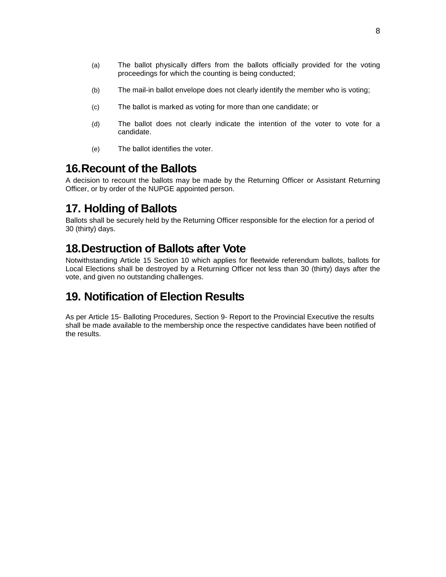- (a) The ballot physically differs from the ballots officially provided for the voting proceedings for which the counting is being conducted;
- (b) The mail-in ballot envelope does not clearly identify the member who is voting;
- (c) The ballot is marked as voting for more than one candidate; or
- (d) The ballot does not clearly indicate the intention of the voter to vote for a candidate.
- (e) The ballot identifies the voter.

### <span id="page-7-0"></span>**16.Recount of the Ballots**

A decision to recount the ballots may be made by the Returning Officer or Assistant Returning Officer, or by order of the NUPGE appointed person.

# <span id="page-7-1"></span>**17. Holding of Ballots**

Ballots shall be securely held by the Returning Officer responsible for the election for a period of 30 (thirty) days.

# **18.Destruction of Ballots after Vote**

Notwithstanding Article 15 Section 10 which applies for fleetwide referendum ballots, ballots for Local Elections shall be destroyed by a Returning Officer not less than 30 (thirty) days after the vote, and given no outstanding challenges.

# **19. Notification of Election Results**

As per Article 15- Balloting Procedures, Section 9- Report to the Provincial Executive the results shall be made available to the membership once the respective candidates have been notified of the results.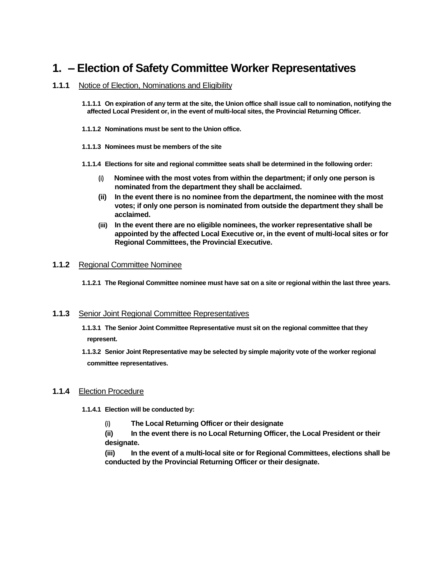# **1. – Election of Safety Committee Worker Representatives**

#### **1.1.1** Notice of Election, Nominations and Eligibility

**1.1.1.1 On expiration of any term at the site, the Union office shall issue call to nomination, notifying the affected Local President or, in the event of multi-local sites, the Provincial Returning Officer.** 

- **1.1.1.2 Nominations must be sent to the Union office.**
- **1.1.1.3 Nominees must be members of the site**
- **1.1.1.4 Elections for site and regional committee seats shall be determined in the following order:**
	- (i) **Nominee with the most votes from within the department; if only one person is nominated from the department they shall be acclaimed.**
	- **(ii) In the event there is no nominee from the department, the nominee with the most votes; if only one person is nominated from outside the department they shall be acclaimed.**
	- **(iii) In the event there are no eligible nominees, the worker representative shall be appointed by the affected Local Executive or, in the event of multi-local sites or for Regional Committees, the Provincial Executive.**

#### **1.1.2** Regional Committee Nominee

**1.1.2.1 The Regional Committee nominee must have sat on a site or regional within the last three years.**

#### **1.1.3** Senior Joint Regional Committee Representatives

- **1.1.3.1 The Senior Joint Committee Representative must sit on the regional committee that they represent.**
- **1.1.3.2 Senior Joint Representative may be selected by simple majority vote of the worker regional committee representatives.**

#### **1.1.4** Election Procedure

- **1.1.4.1 Election will be conducted by:**
	- (i) **The Local Returning Officer or their designate**
	- **(ii) In the event there is no Local Returning Officer, the Local President or their designate.**
	- **(iii) In the event of a multi-local site or for Regional Committees, elections shall be conducted by the Provincial Returning Officer or their designate.**